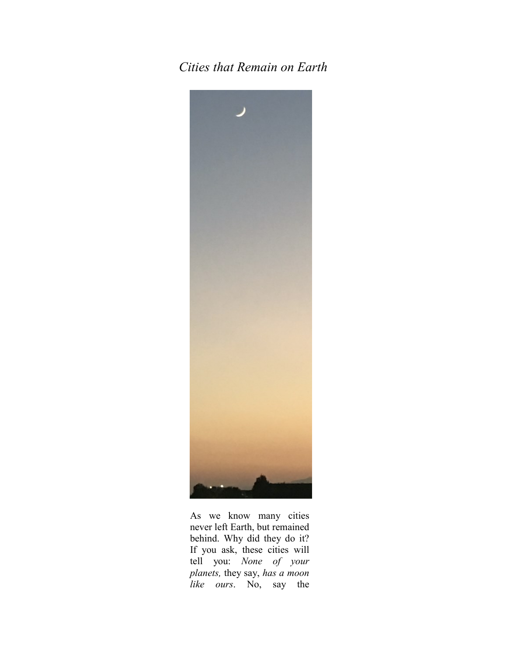## *Cities that Remain on Earth*



As we know many cities never left Earth, but remained behind. Why did they do it? If you ask, these cities will tell you: *None of your planets,* they say, *has a moon like ours*. No, say the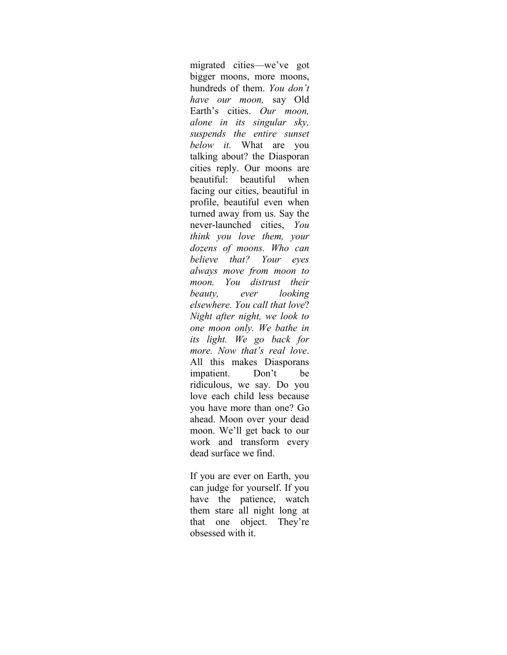migrated cities—we've got bigger moons, more moons, hundreds of them. *You don't have our moon,* say Old Earth's cities. *Our moon, alone in its singular sky, suspends the entire sunset below it.* What are you talking about? the Diasporan cities reply. Our moons are beautiful: beautiful when facing our cities, beautiful in profile, beautiful even when turned away from us. Say the never-launched cities, *You think you love them, your dozens of moons. Who can believe that? Your eyes always move from moon to moon. You distrust their beauty, ever looking elsewhere. You call that love*? *Night after night, we look to one moon only. We bathe in its light. We go back for more. Now that's real love*. All this makes Diasporans impatient. Don't be ridiculous, we say. Do you love each child less because you have more than one? Go ahead. Moon over your dead moon. We'll get back to our work and transform every dead surface we find.

If you are ever on Earth, you can judge for yourself. If you have the patience, watch them stare all night long at that one object. They're obsessed with it.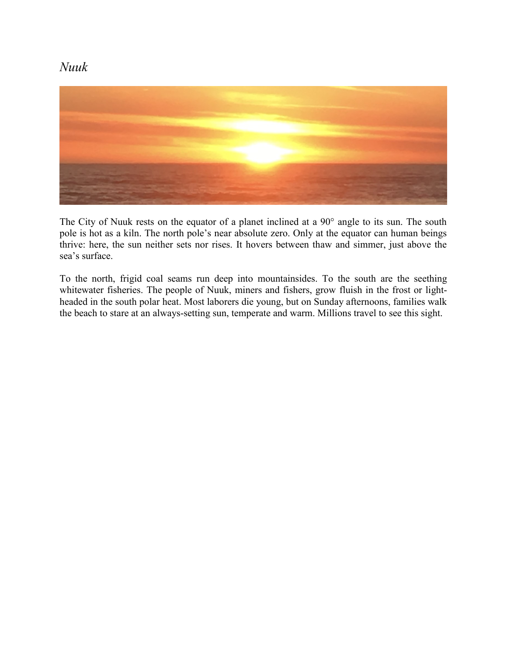## *Nuuk*



The City of Nuuk rests on the equator of a planet inclined at a 90° angle to its sun. The south pole is hot as a kiln. The north pole's near absolute zero. Only at the equator can human beings thrive: here, the sun neither sets nor rises. It hovers between thaw and simmer, just above the sea's surface.

To the north, frigid coal seams run deep into mountainsides. To the south are the seething whitewater fisheries. The people of Nuuk, miners and fishers, grow fluish in the frost or lightheaded in the south polar heat. Most laborers die young, but on Sunday afternoons, families walk the beach to stare at an always-setting sun, temperate and warm. Millions travel to see this sight.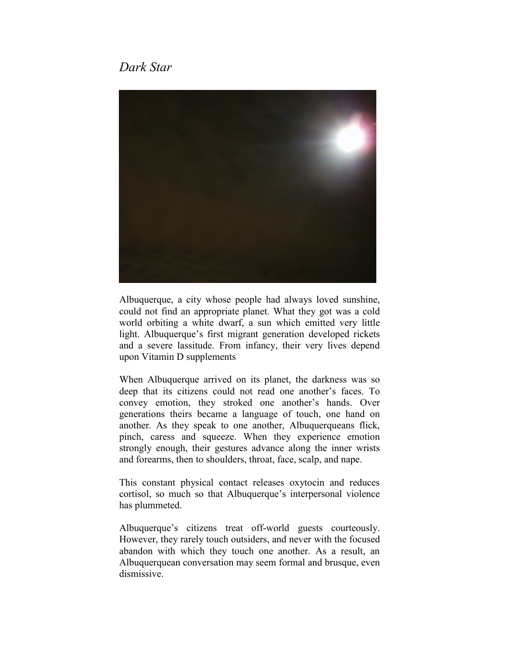## *Dark Star*



Albuquerque, a city whose people had always loved sunshine, could not find an appropriate planet. What they got was a cold world orbiting a white dwarf, a sun which emitted very little light. Albuquerque's first migrant generation developed rickets and a severe lassitude. From infancy, their very lives depend upon Vitamin D supplements

When Albuquerque arrived on its planet, the darkness was so deep that its citizens could not read one another's faces. To convey emotion, they stroked one another's hands. Over generations theirs became a language of touch, one hand on another. As they speak to one another, Albuquerqueans flick, pinch, caress and squeeze. When they experience emotion strongly enough, their gestures advance along the inner wrists and forearms, then to shoulders, throat, face, scalp, and nape.

This constant physical contact releases oxytocin and reduces cortisol, so much so that Albuquerque's interpersonal violence has plummeted.

Albuquerque's citizens treat off-world guests courteously. However, they rarely touch outsiders, and never with the focused abandon with which they touch one another. As a result, an Albuquerquean conversation may seem formal and brusque, even dismissive.